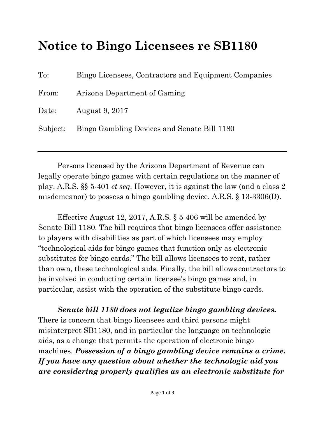## **Notice to Bingo Licensees re SB1180**

| $\mathrm{To:}$ | Bingo Licensees, Contractors and Equipment Companies |
|----------------|------------------------------------------------------|
| From:          | Arizona Department of Gaming                         |
| Date:          | August 9, 2017                                       |
|                | Subject: Bingo Gambling Devices and Senate Bill 1180 |

Persons licensed by the Arizona Department of Revenue can legally operate bingo games with certain regulations on the manner of play. A.R.S. §§ 5-401 *et seq*. However, it is against the law (and a class 2 misdemeanor) to possess a bingo gambling device. A.R.S. § 13-3306(D).

Effective August 12, 2017, A.R.S. § 5-406 will be amended by Senate Bill 1180. The bill requires that bingo licensees offer assistance to players with disabilities as part of which licensees may employ "technological aids for bingo games that function only as electronic substitutes for bingo cards." The bill allows licensees to rent, rather than own, these technological aids. Finally, the bill allows contractors to be involved in conducting certain licensee's bingo games and, in particular, assist with the operation of the substitute bingo cards.

*Senate bill 1180 does not legalize bingo gambling devices.* There is concern that bingo licensees and third persons might misinterpret SB1180, and in particular the language on technologic aids, as a change that permits the operation of electronic bingo machines. *Possession of a bingo gambling device remains a crime. If you have any question about whether the technologic aid you are considering properly qualifies as an electronic substitute for*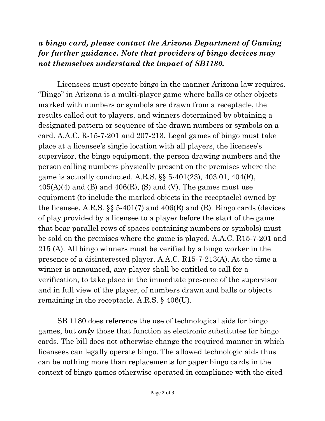## *a bingo card, please contact the Arizona Department of Gaming for further guidance. Note that providers of bingo devices may not themselves understand the impact of SB1180.*

Licensees must operate bingo in the manner Arizona law requires. "Bingo" in Arizona is a multi-player game where balls or other objects marked with numbers or symbols are drawn from a receptacle, the results called out to players, and winners determined by obtaining a designated pattern or sequence of the drawn numbers or symbols on a card. A.A.C. R-15-7-201 and 207-213. Legal games of bingo must take place at a licensee's single location with all players, the licensee's supervisor, the bingo equipment, the person drawing numbers and the person calling numbers physically present on the premises where the game is actually conducted. A.R.S. §§ 5-401(23), 403.01, 404(F),  $405(A)(4)$  and (B) and  $406(R)$ , (S) and (V). The games must use equipment (to include the marked objects in the receptacle) owned by the licensee. A.R.S.  $\S$  5-401(7) and 406(E) and (R). Bingo cards (devices of play provided by a licensee to a player before the start of the game that bear parallel rows of spaces containing numbers or symbols) must be sold on the premises where the game is played. A.A.C. R15-7-201 and 215 (A). All bingo winners must be verified by a bingo worker in the presence of a disinterested player. A.A.C. R15-7-213(A). At the time a winner is announced, any player shall be entitled to call for a verification, to take place in the immediate presence of the supervisor and in full view of the player, of numbers drawn and balls or objects remaining in the receptacle. A.R.S. § 406(U).

SB 1180 does reference the use of technological aids for bingo games, but *only* those that function as electronic substitutes for bingo cards. The bill does not otherwise change the required manner in which licensees can legally operate bingo. The allowed technologic aids thus can be nothing more than replacements for paper bingo cards in the context of bingo games otherwise operated in compliance with the cited